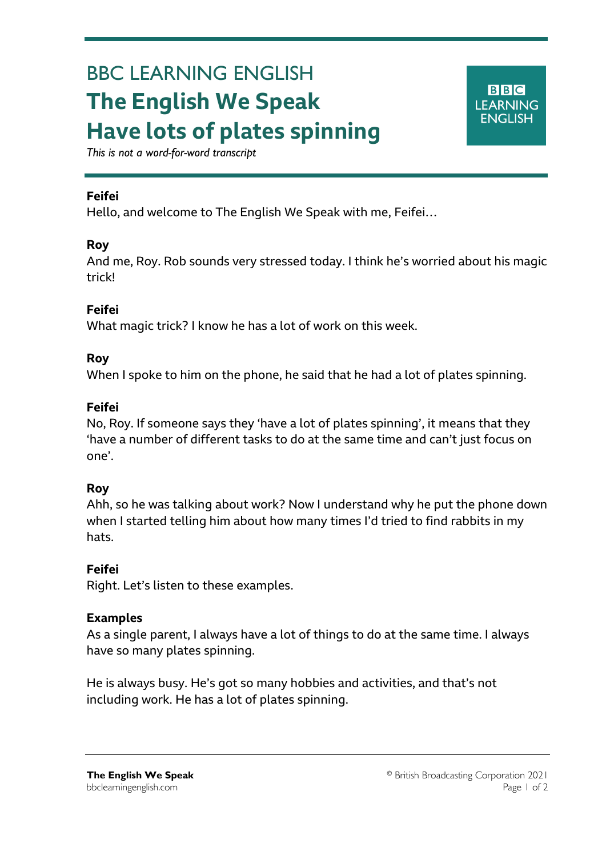# BBC LEARNING ENGLISH **The English We Speak Have lots of plates spinning**



*This is not a word-for-word transcript*

## **Feifei**

Ξ

Hello, and welcome to The English We Speak with me, Feifei…

### **Roy**

And me, Roy. Rob sounds very stressed today. I think he's worried about his magic trick!

### **Feifei**

What magic trick? I know he has a lot of work on this week.

### **Roy**

When I spoke to him on the phone, he said that he had a lot of plates spinning.

### **Feifei**

No, Roy. If someone says they 'have a lot of plates spinning', it means that they 'have a number of different tasks to do at the same time and can't just focus on one'.

# **Roy**

Ahh, so he was talking about work? Now I understand why he put the phone down when I started telling him about how many times I'd tried to find rabbits in my hats.

# **Feifei**

Right. Let's listen to these examples.

#### **Examples**

As a single parent, I always have a lot of things to do at the same time. I always have so many plates spinning.

He is always busy. He's got so many hobbies and activities, and that's not including work. He has a lot of plates spinning.